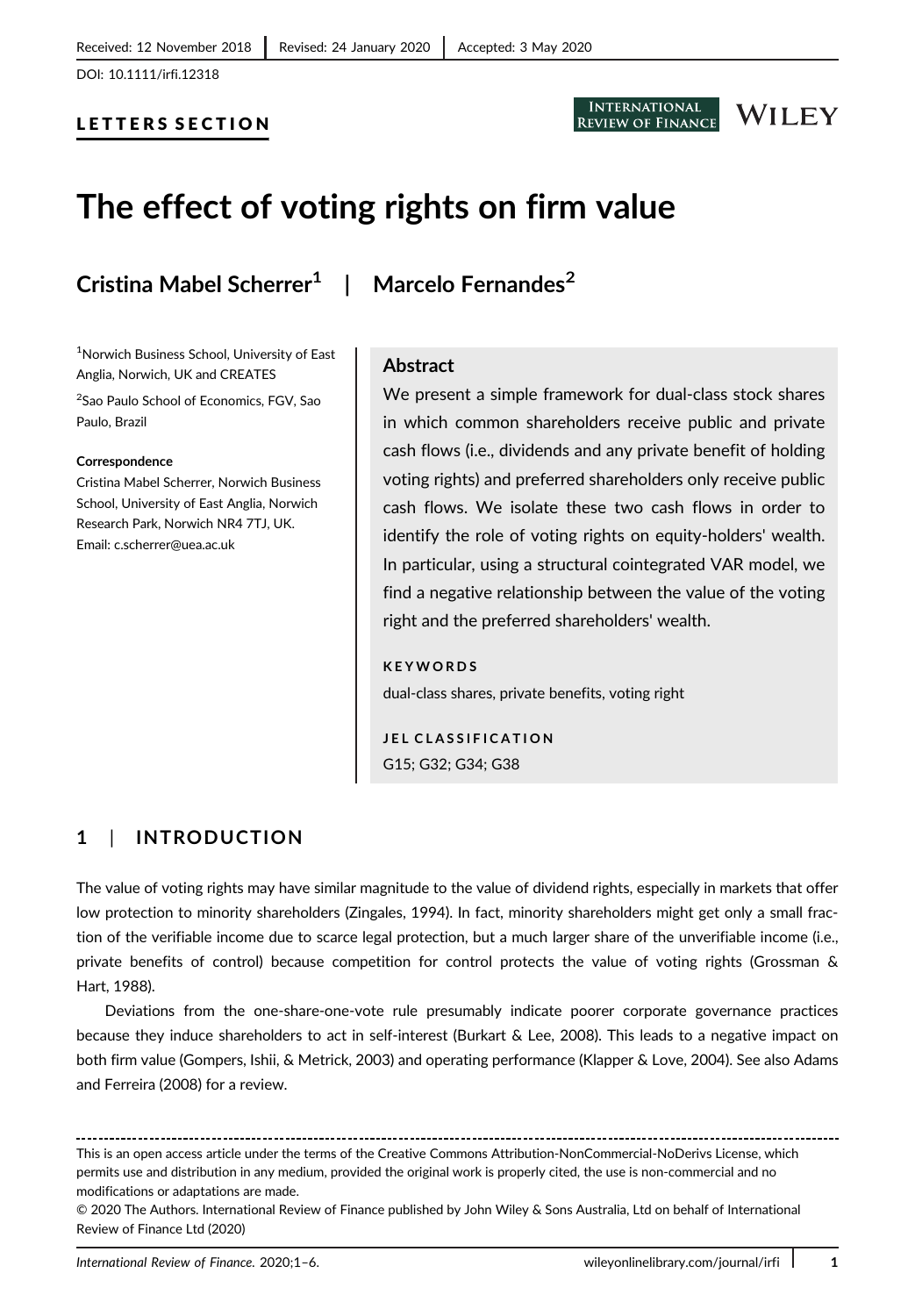DOI: 10.1111/irfi.12318

#### LETTERS SECTION



# WILEY

# The effect of voting rights on firm value

## Cristina Mabel Scherrer<sup>1</sup> | Marcelo Fernandes<sup>2</sup>

1 Norwich Business School, University of East Anglia, Norwich, UK and CREATES

2 Sao Paulo School of Economics, FGV, Sao Paulo, Brazil

#### Correspondence

Cristina Mabel Scherrer, Norwich Business School, University of East Anglia, Norwich Research Park, Norwich NR4 7TJ, UK. Email: c.scherrer@uea.ac.uk

#### Abstract

We present a simple framework for dual-class stock shares in which common shareholders receive public and private cash flows (i.e., dividends and any private benefit of holding voting rights) and preferred shareholders only receive public cash flows. We isolate these two cash flows in order to identify the role of voting rights on equity-holders' wealth. In particular, using a structural cointegrated VAR model, we find a negative relationship between the value of the voting right and the preferred shareholders' wealth.

#### **KEYWORDS**

dual-class shares, private benefits, voting right

JEL CLASSIFICATION G15; G32; G34; G38

### 1 | INTRODUCTION

The value of voting rights may have similar magnitude to the value of dividend rights, especially in markets that offer low protection to minority shareholders (Zingales, 1994). In fact, minority shareholders might get only a small fraction of the verifiable income due to scarce legal protection, but a much larger share of the unverifiable income (i.e., private benefits of control) because competition for control protects the value of voting rights (Grossman & Hart, 1988).

Deviations from the one-share-one-vote rule presumably indicate poorer corporate governance practices because they induce shareholders to act in self-interest (Burkart & Lee, 2008). This leads to a negative impact on both firm value (Gompers, Ishii, & Metrick, 2003) and operating performance (Klapper & Love, 2004). See also Adams and Ferreira (2008) for a review.

This is an open access article under the terms of the [Creative Commons Attribution-NonCommercial-NoDerivs](http://creativecommons.org/licenses/by-nc-nd/4.0/) License, which permits use and distribution in any medium, provided the original work is properly cited, the use is non-commercial and no modifications or adaptations are made.

<sup>© 2020</sup> The Authors. International Review of Finance published by John Wiley & Sons Australia, Ltd on behalf of International Review of Finance Ltd (2020)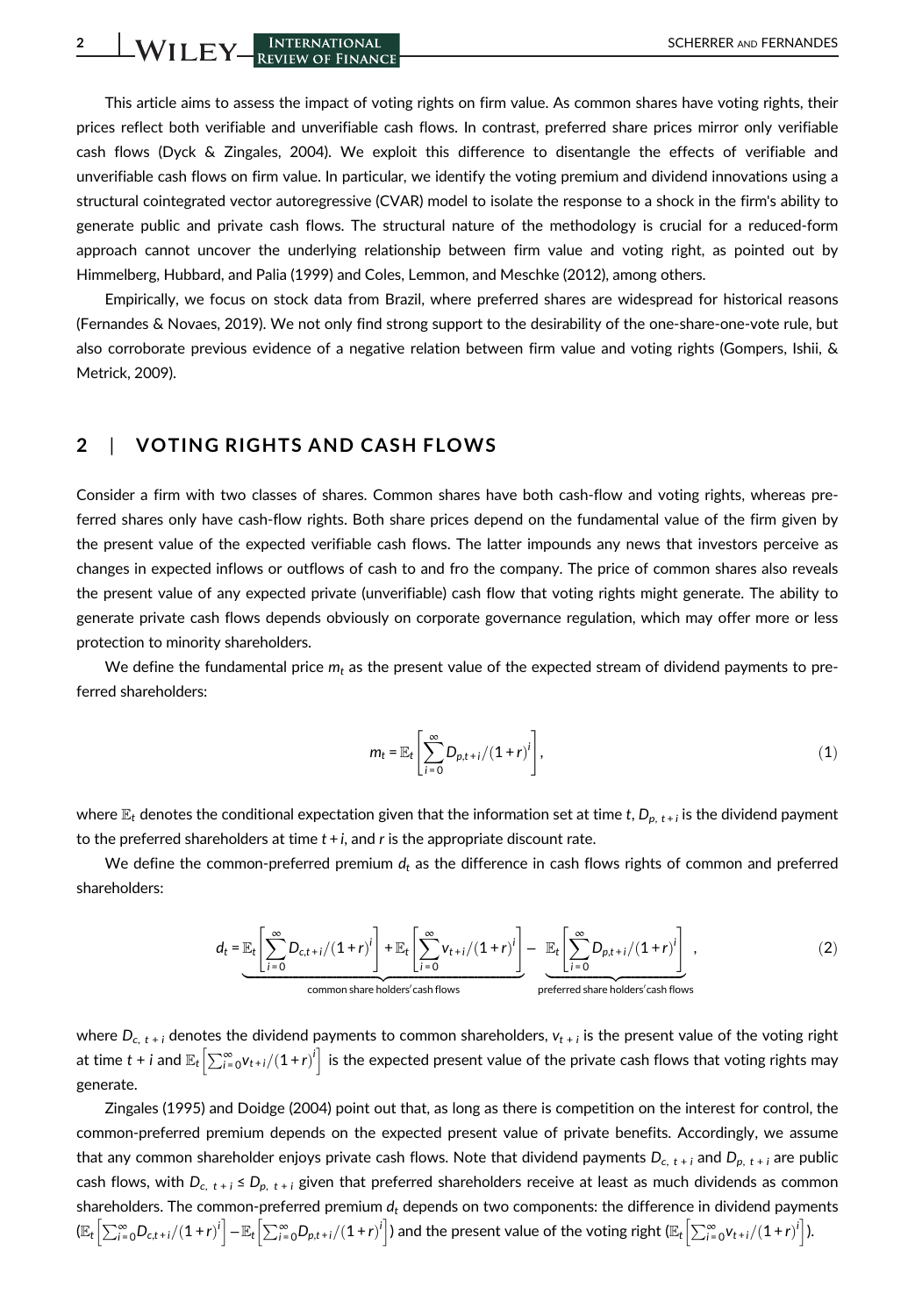2 WILEY REVIEW OF FINANCE SCHERRER AND FERNANDES

This article aims to assess the impact of voting rights on firm value. As common shares have voting rights, their prices reflect both verifiable and unverifiable cash flows. In contrast, preferred share prices mirror only verifiable cash flows (Dyck & Zingales, 2004). We exploit this difference to disentangle the effects of verifiable and unverifiable cash flows on firm value. In particular, we identify the voting premium and dividend innovations using a structural cointegrated vector autoregressive (CVAR) model to isolate the response to a shock in the firm's ability to generate public and private cash flows. The structural nature of the methodology is crucial for a reduced-form approach cannot uncover the underlying relationship between firm value and voting right, as pointed out by Himmelberg, Hubbard, and Palia (1999) and Coles, Lemmon, and Meschke (2012), among others.

Empirically, we focus on stock data from Brazil, where preferred shares are widespread for historical reasons (Fernandes & Novaes, 2019). We not only find strong support to the desirability of the one-share-one-vote rule, but also corroborate previous evidence of a negative relation between firm value and voting rights (Gompers, Ishii, & Metrick, 2009).

#### 2 | VOTING RIGHTS AND CASH FLOWS

Consider a firm with two classes of shares. Common shares have both cash-flow and voting rights, whereas preferred shares only have cash-flow rights. Both share prices depend on the fundamental value of the firm given by the present value of the expected verifiable cash flows. The latter impounds any news that investors perceive as changes in expected inflows or outflows of cash to and fro the company. The price of common shares also reveals the present value of any expected private (unverifiable) cash flow that voting rights might generate. The ability to generate private cash flows depends obviously on corporate governance regulation, which may offer more or less protection to minority shareholders.

We define the fundamental price  $m_t$  as the present value of the expected stream of dividend payments to preferred shareholders:

$$
m_t = \mathbb{E}_t \left[ \sum_{i=0}^{\infty} D_{p,t+i}/(1+r)^i \right],
$$
 (1)

where  $\mathbb{E}_t$  denotes the conditional expectation given that the information set at time t,  $D_{p, t+i}$  is the dividend payment to the preferred shareholders at time  $t + i$ , and r is the appropriate discount rate.

We define the common-preferred premium  $d_t$  as the difference in cash flows rights of common and preferred shareholders:

$$
d_{t} = \underbrace{\mathbb{E}_{t} \left[ \sum_{i=0}^{\infty} D_{c,t+i} / (1+r)^{i} \right] + \mathbb{E}_{t} \left[ \sum_{i=0}^{\infty} v_{t+i} / (1+r)^{i} \right]}_{\text{common share holders' cash flows}} - \underbrace{\mathbb{E}_{t} \left[ \sum_{i=0}^{\infty} D_{p,t+i} / (1+r)^{i} \right]}_{\text{preferred share holder's cash flows}},
$$
\n(2)

where  $D_{c, t+i}$  denotes the dividend payments to common shareholders,  $v_{t+i}$  is the present value of the voting right at time  $t$  +  $i$  and  $\mathbb{E}_t\Bigl[\sum_{i=0}^\infty$ V $_{t+i}/(1+r)^i\Bigr]$  is the expected present value of the private cash flows that voting rights may generate.

Zingales (1995) and Doidge (2004) point out that, as long as there is competition on the interest for control, the common-preferred premium depends on the expected present value of private benefits. Accordingly, we assume that any common shareholder enjoys private cash flows. Note that dividend payments  $D_{c, t + i}$  and  $D_{p, t + i}$  are public cash flows, with  $D_{c,t+i} \le D_{p,t+i}$  given that preferred shareholders receive at least as much dividends as common shareholders. The common-preferred premium  $d_t$  depends on two components: the difference in dividend payments  $(\mathbb{E}_t\left[\sum_{i=0}^{\infty}D_{c,t+i}/(1+r)^i\right]-\mathbb{E}_t\left[\sum_{i=0}^{\infty}D_{p,t+i}/(1+r)^i\right]$  and the present value of the voting right  $(\mathbb{E}_t\left[\sum_{i=0}^{\infty}V_{t+i}/(1+r)^i\right]$ ).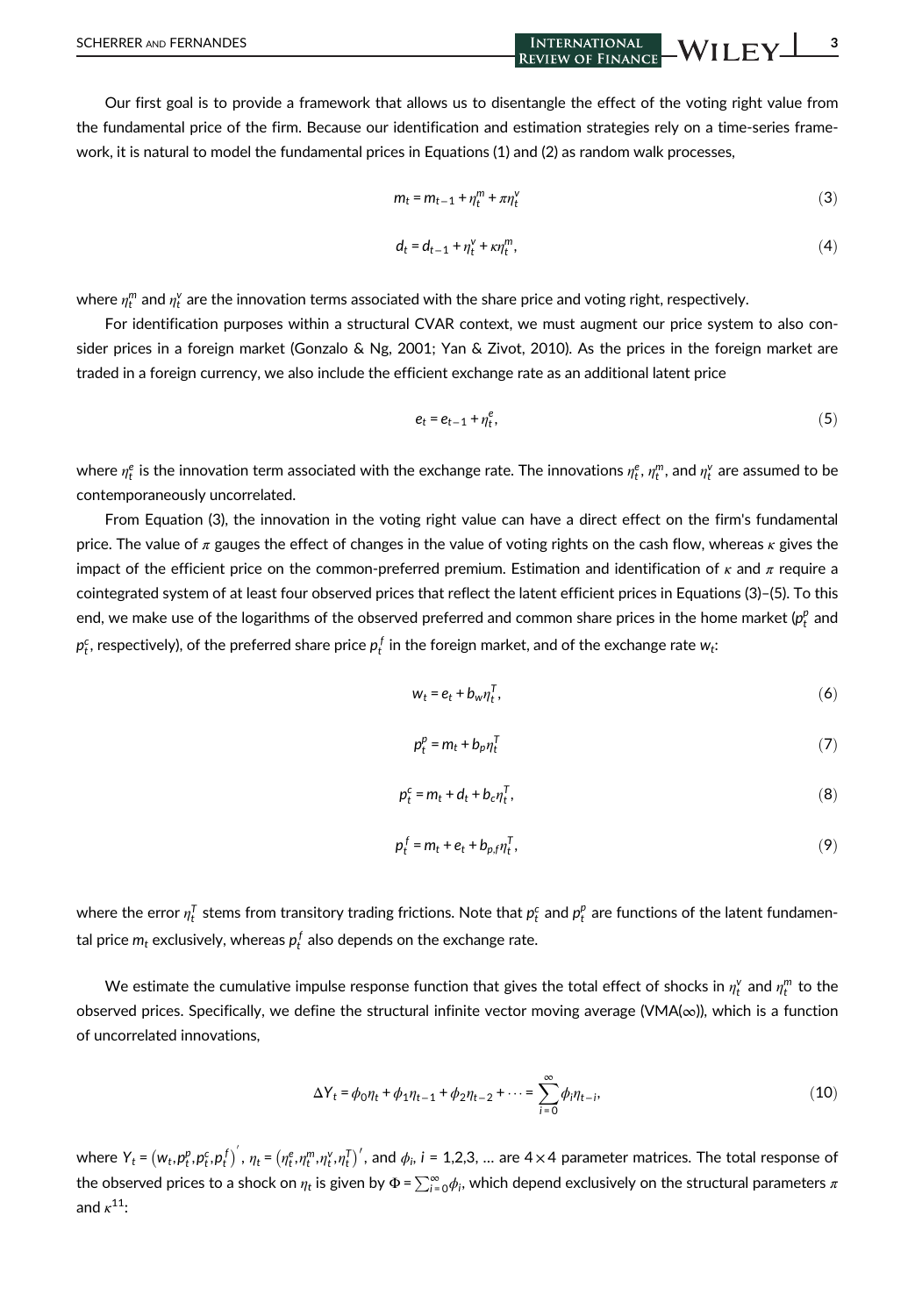Our first goal is to provide a framework that allows us to disentangle the effect of the voting right value from the fundamental price of the firm. Because our identification and estimation strategies rely on a time-series framework, it is natural to model the fundamental prices in Equations (1) and (2) as random walk processes,

$$
m_t = m_{t-1} + \eta_t^m + \pi \eta_t^v \tag{3}
$$

$$
d_t = d_{t-1} + \eta_t^{\vee} + \kappa \eta_t^m, \tag{4}
$$

where  $\eta^m_t$  and  $\eta^{\vee}_t$  are the innovation terms associated with the share price and voting right, respectively.

For identification purposes within a structural CVAR context, we must augment our price system to also consider prices in a foreign market (Gonzalo & Ng, 2001; Yan & Zivot, 2010). As the prices in the foreign market are traded in a foreign currency, we also include the efficient exchange rate as an additional latent price

$$
e_t = e_{t-1} + \eta_t^e, \tag{5}
$$

where  $\eta^e_t$  is the innovation term associated with the exchange rate. The innovations  $\eta^e_t, \eta^m_t,$  and  $\eta^v_t$  are assumed to be contemporaneously uncorrelated.

From Equation (3), the innovation in the voting right value can have a direct effect on the firm's fundamental price. The value of  $\pi$  gauges the effect of changes in the value of voting rights on the cash flow, whereas  $\kappa$  gives the impact of the efficient price on the common-preferred premium. Estimation and identification of  $\kappa$  and  $\pi$  require a cointegrated system of at least four observed prices that reflect the latent efficient prices in Equations (3)–(5). To this end, we make use of the logarithms of the observed preferred and common share prices in the home market ( $p_t^p$  and  $p^c_t$ , respectively), of the preferred share price  $p^f_t$  in the foreign market, and of the exchange rate  $w_t$ :

$$
w_t = e_t + b_w \eta_t^T, \tag{6}
$$

$$
p_t^p = m_t + b_p \eta_t^T \tag{7}
$$

$$
p_t^c = m_t + d_t + b_c \eta_t^T, \qquad (8)
$$

$$
p_t^f = m_t + e_t + b_{p,f} \eta_t^T,\tag{9}
$$

where the error  $\eta^I_t$  stems from transitory trading frictions. Note that  $p^c_t$  and  $p^p_t$  are functions of the latent fundamental price  $m_t$  exclusively, whereas  $p_t^{\,f}$  also depends on the exchange rate.

We estimate the cumulative impulse response function that gives the total effect of shocks in  $\eta_t^v$  and  $\eta_t^m$  to the observed prices. Specifically, we define the structural infinite vector moving average (VMA( $\infty$ )), which is a function of uncorrelated innovations,

$$
\Delta Y_t = \phi_0 \eta_t + \phi_1 \eta_{t-1} + \phi_2 \eta_{t-2} + \dots = \sum_{i=0}^{\infty} \phi_i \eta_{t-i},
$$
\n(10)

where  $Y_t$  =  $(w_t, p_t^p, p_t^c, p_t^f)'$  ,  $\eta_t$  =  $(\eta_t^e, \eta_t^m, \eta_t^v, \eta_t^f)'$ , and  $\phi_i$ , i = 1,2,3, … are 4 $\times$ 4 parameter matrices. The total response of the observed prices to a shock on  $\eta_t$  is given by  $\Phi$  =  $\sum_{i=0}^\infty\!\phi_i$ , which depend exclusively on the structural parameters  $\pi$ and  $\kappa^{11}$ :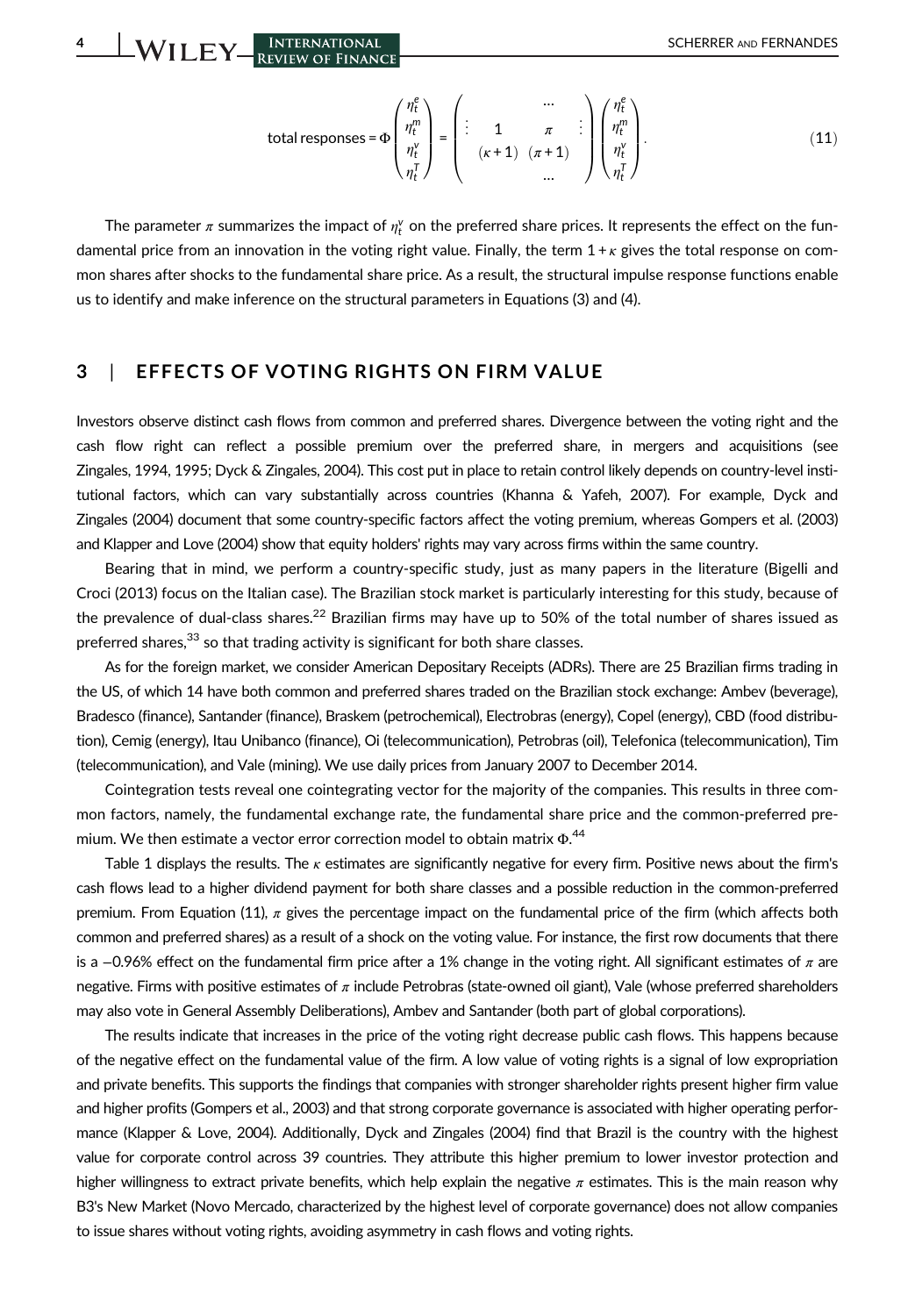4 SCHERRER AND FERNANDES

total responses = 
$$
\Phi
$$

$$
\begin{pmatrix} \eta_t^e \\ \eta_t^m \\ \eta_t^v \\ \eta_t^r \end{pmatrix} = \begin{pmatrix} \cdots \\ \vdots \\ \vdots \\ (\kappa+1) & (\pi+1) \\ \cdots \end{pmatrix} \begin{pmatrix} \eta_t^e \\ \eta_t^m \\ \eta_t^v \\ \eta_t^r \end{pmatrix}.
$$
 (11)

The parameter  $\pi$  summarizes the impact of  $\eta_t^\vee$  on the preferred share prices. It represents the effect on the fundamental price from an innovation in the voting right value. Finally, the term  $1 + \kappa$  gives the total response on common shares after shocks to the fundamental share price. As a result, the structural impulse response functions enable us to identify and make inference on the structural parameters in Equations (3) and (4).

#### 3 | EFFECTS OF VOTING RIGHTS ON FIRM VALUE

Investors observe distinct cash flows from common and preferred shares. Divergence between the voting right and the cash flow right can reflect a possible premium over the preferred share, in mergers and acquisitions (see Zingales, 1994, 1995; Dyck & Zingales, 2004). This cost put in place to retain control likely depends on country-level institutional factors, which can vary substantially across countries (Khanna & Yafeh, 2007). For example, Dyck and Zingales (2004) document that some country-specific factors affect the voting premium, whereas Gompers et al. (2003) and Klapper and Love (2004) show that equity holders' rights may vary across firms within the same country.

Bearing that in mind, we perform a country-specific study, just as many papers in the literature (Bigelli and Croci (2013) focus on the Italian case). The Brazilian stock market is particularly interesting for this study, because of the prevalence of dual-class shares.<sup>22</sup> Brazilian firms may have up to 50% of the total number of shares issued as preferred shares, $33$  so that trading activity is significant for both share classes.

As for the foreign market, we consider American Depositary Receipts (ADRs). There are 25 Brazilian firms trading in the US, of which 14 have both common and preferred shares traded on the Brazilian stock exchange: Ambev (beverage), Bradesco (finance), Santander (finance), Braskem (petrochemical), Electrobras (energy), Copel (energy), CBD (food distribution), Cemig (energy), Itau Unibanco (finance), Oi (telecommunication), Petrobras (oil), Telefonica (telecommunication), Tim (telecommunication), and Vale (mining). We use daily prices from January 2007 to December 2014.

Cointegration tests reveal one cointegrating vector for the majority of the companies. This results in three common factors, namely, the fundamental exchange rate, the fundamental share price and the common-preferred premium. We then estimate a vector error correction model to obtain matrix  $\Phi^{,\mathbf{44}}$ 

Table 1 displays the results. The  $\kappa$  estimates are significantly negative for every firm. Positive news about the firm's cash flows lead to a higher dividend payment for both share classes and a possible reduction in the common-preferred premium. From Equation (11),  $\pi$  gives the percentage impact on the fundamental price of the firm (which affects both common and preferred shares) as a result of a shock on the voting value. For instance, the first row documents that there is a -0.96% effect on the fundamental firm price after a 1% change in the voting right. All significant estimates of  $\pi$  are negative. Firms with positive estimates of  $\pi$  include Petrobras (state-owned oil giant), Vale (whose preferred shareholders may also vote in General Assembly Deliberations), Ambev and Santander (both part of global corporations).

The results indicate that increases in the price of the voting right decrease public cash flows. This happens because of the negative effect on the fundamental value of the firm. A low value of voting rights is a signal of low expropriation and private benefits. This supports the findings that companies with stronger shareholder rights present higher firm value and higher profits (Gompers et al., 2003) and that strong corporate governance is associated with higher operating performance (Klapper & Love, 2004). Additionally, Dyck and Zingales (2004) find that Brazil is the country with the highest value for corporate control across 39 countries. They attribute this higher premium to lower investor protection and higher willingness to extract private benefits, which help explain the negative  $\pi$  estimates. This is the main reason why B3's New Market (Novo Mercado, characterized by the highest level of corporate governance) does not allow companies to issue shares without voting rights, avoiding asymmetry in cash flows and voting rights.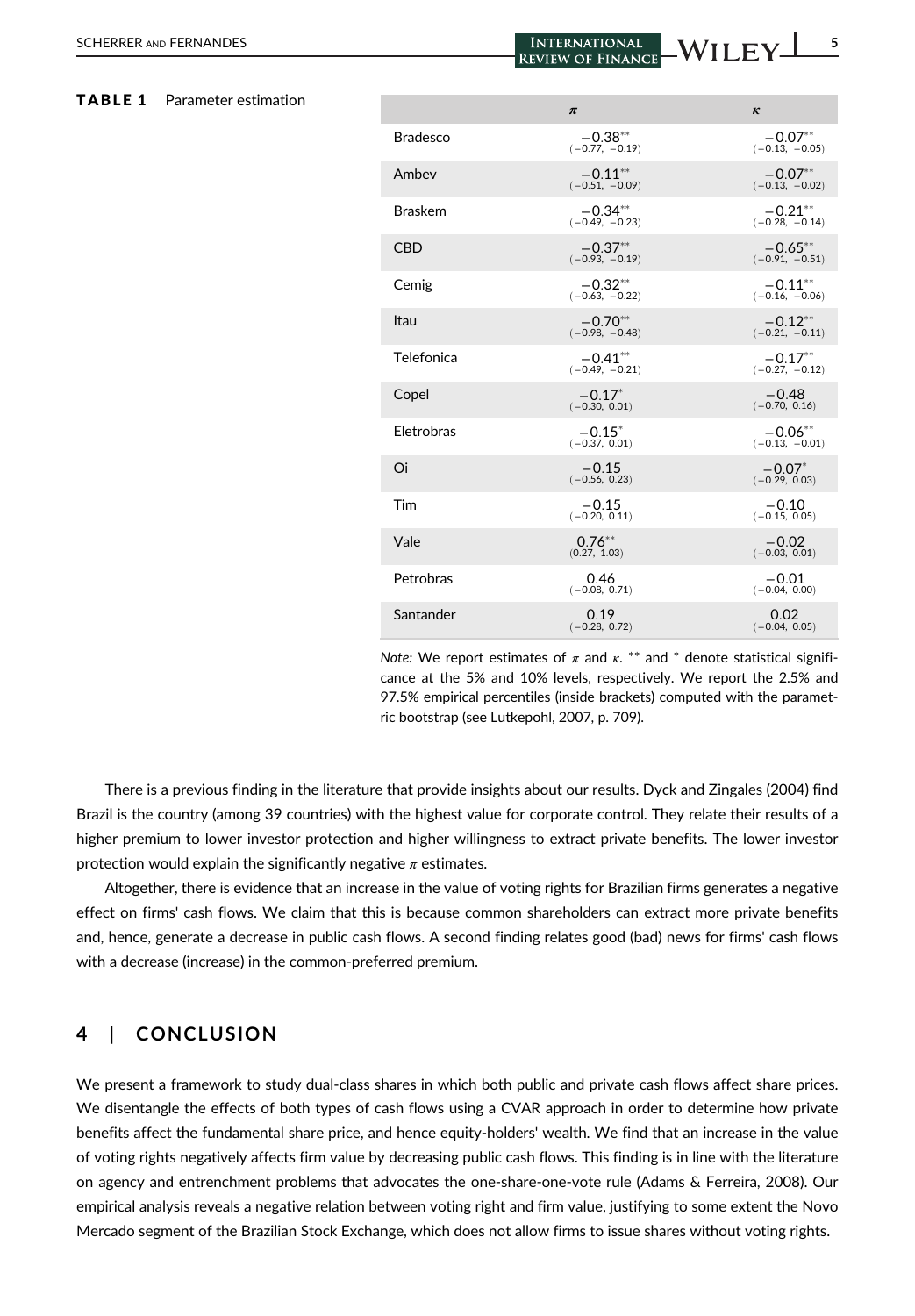SCHERRER AND FERNANDES **SCHERRER AND FERNANDES** THE REVIEW OF FINANCE WILLEY <sup>5</sup>

| TABLE 1 | Parameter estimation |                 | $\pi$                         | $\kappa$                       |
|---------|----------------------|-----------------|-------------------------------|--------------------------------|
|         |                      | <b>Bradesco</b> | $-0.38**$<br>$(-0.77, -0.19)$ | $-0.07**$<br>$(-0.13, -0.05)$  |
|         |                      | Ambey           | $-0.11**$<br>$(-0.51, -0.09)$ | $-0.07**$<br>$(-0.13, -0.02)$  |
|         |                      | <b>Braskem</b>  | $-0.34**$<br>$(-0.49, -0.23)$ | $-0.21***$<br>$(-0.28, -0.14)$ |
|         |                      | <b>CBD</b>      | $-0.37**$<br>$(-0.93, -0.19)$ | $-0.65***$<br>$(-0.91, -0.51)$ |
|         |                      | Cemig           | $-0.32**$<br>$(-0.63, -0.22)$ | $-0.11***$<br>$(-0.16, -0.06)$ |
|         |                      | Itau            | $-0.70**$<br>$(-0.98, -0.48)$ | $-0.12**$<br>$(-0.21, -0.11)$  |
|         |                      | Telefonica      | $-0.41**$<br>$(-0.49, -0.21)$ | $-0.17***$<br>$(-0.27, -0.12)$ |
|         |                      | Copel           | $-0.17*$<br>$(-0.30, 0.01)$   | $-0.48$<br>$(-0.70, 0.16)$     |
|         |                      | Eletrobras      | $-0.15*$<br>$(-0.37, 0.01)$   | $-0.06***$<br>$(-0.13, -0.01)$ |
|         |                      | Oi              | $-0.15$<br>$(-0.56, 0.23)$    | $-0.07*$<br>$(-0.29, 0.03)$    |
|         |                      | Tim             | $-0.15$<br>$(-0.20, 0.11)$    | $-0.10$<br>$(-0.15, 0.05)$     |
|         |                      | Vale            | $0.76***$<br>(0.27, 1.03)     | $-0.02$<br>$(-0.03, 0.01)$     |
|         |                      | Petrobras       | 0.46<br>$(-0.08, 0.71)$       | $-0.01$<br>$(-0.04, 0.00)$     |
|         |                      | Santander       | 0.19<br>$(-0.28, 0.72)$       | 0.02<br>$(-0.04, 0.05)$        |
|         |                      |                 |                               |                                |

Note: We report estimates of  $\pi$  and  $\kappa$ . \*\* and \* denote statistical significance at the 5% and 10% levels, respectively. We report the 2.5% and 97.5% empirical percentiles (inside brackets) computed with the parametric bootstrap (see Lutkepohl, 2007, p. 709).

There is a previous finding in the literature that provide insights about our results. Dyck and Zingales (2004) find Brazil is the country (among 39 countries) with the highest value for corporate control. They relate their results of a higher premium to lower investor protection and higher willingness to extract private benefits. The lower investor protection would explain the significantly negative  $\pi$  estimates.

Altogether, there is evidence that an increase in the value of voting rights for Brazilian firms generates a negative effect on firms' cash flows. We claim that this is because common shareholders can extract more private benefits and, hence, generate a decrease in public cash flows. A second finding relates good (bad) news for firms' cash flows with a decrease (increase) in the common-preferred premium.

#### 4 | CONCLUSION

We present a framework to study dual-class shares in which both public and private cash flows affect share prices. We disentangle the effects of both types of cash flows using a CVAR approach in order to determine how private benefits affect the fundamental share price, and hence equity-holders' wealth. We find that an increase in the value of voting rights negatively affects firm value by decreasing public cash flows. This finding is in line with the literature on agency and entrenchment problems that advocates the one-share-one-vote rule (Adams & Ferreira, 2008). Our empirical analysis reveals a negative relation between voting right and firm value, justifying to some extent the Novo Mercado segment of the Brazilian Stock Exchange, which does not allow firms to issue shares without voting rights.